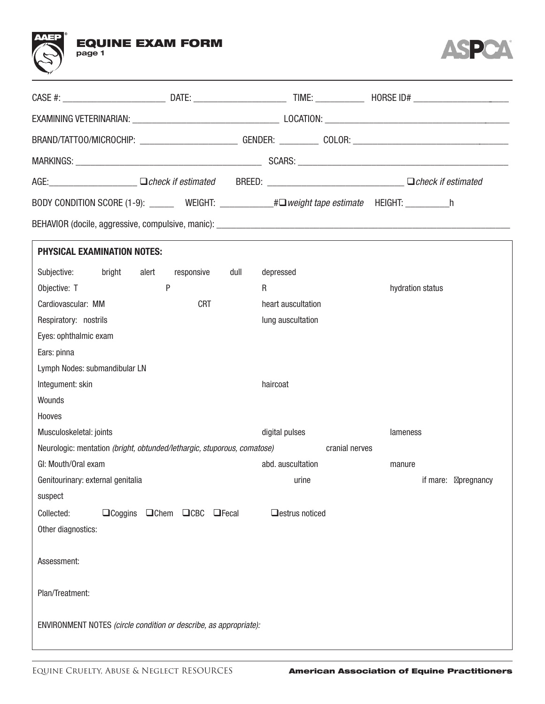



|                                                                                           |                             |           |                    | BRAND/TATTOO/MICROCHIP: __________________________GENDER: ____________ COLOR: ________________________________ |  |
|-------------------------------------------------------------------------------------------|-----------------------------|-----------|--------------------|----------------------------------------------------------------------------------------------------------------|--|
|                                                                                           |                             |           |                    |                                                                                                                |  |
|                                                                                           |                             |           |                    | AGE: Check if estimated BREED: Check if estimated BREED: Check if estimated                                    |  |
|                                                                                           |                             |           |                    | BODY CONDITION SCORE (1-9): ________ WEIGHT: ___________#□ weight tape estimate HEIGHT: ___________h           |  |
|                                                                                           |                             |           |                    |                                                                                                                |  |
| <b>PHYSICAL EXAMINATION NOTES:</b>                                                        |                             |           |                    |                                                                                                                |  |
| Subjective:<br>bright                                                                     | responsive<br>alert<br>dull | depressed |                    |                                                                                                                |  |
| Objective: T                                                                              | P                           | R         |                    | hydration status                                                                                               |  |
| Cardiovascular: MM                                                                        | <b>CRT</b>                  |           | heart auscultation |                                                                                                                |  |
| Respiratory: nostrils                                                                     |                             |           | lung auscultation  |                                                                                                                |  |
| Eyes: ophthalmic exam                                                                     |                             |           |                    |                                                                                                                |  |
| Ears: pinna                                                                               |                             |           |                    |                                                                                                                |  |
| Lymph Nodes: submandibular LN                                                             |                             |           |                    |                                                                                                                |  |
| Integument: skin                                                                          |                             | haircoat  |                    |                                                                                                                |  |
| Wounds                                                                                    |                             |           |                    |                                                                                                                |  |
| Hooves                                                                                    |                             |           |                    |                                                                                                                |  |
| Musculoskeletal: joints                                                                   |                             |           | digital pulses     | lameness                                                                                                       |  |
| Neurologic: mentation (bright, obtunded/lethargic, stuporous, comatose)<br>cranial nerves |                             |           |                    |                                                                                                                |  |
| GI: Mouth/Oral exam                                                                       |                             |           | abd. auscultation  | manure                                                                                                         |  |
| Genitourinary: external genitalia                                                         |                             |           | urine              | if mare:<br>pregnancy                                                                                          |  |
| suspect                                                                                   |                             |           |                    |                                                                                                                |  |
| Collected:<br>$\Box$ Coggins                                                              | □Chem □CBC □Fecal           |           | □estrus noticed    |                                                                                                                |  |
| Other diagnostics:                                                                        |                             |           |                    |                                                                                                                |  |
| Assessment:                                                                               |                             |           |                    |                                                                                                                |  |
| Plan/Treatment:                                                                           |                             |           |                    |                                                                                                                |  |
| ENVIRONMENT NOTES (circle condition or describe, as appropriate):                         |                             |           |                    |                                                                                                                |  |